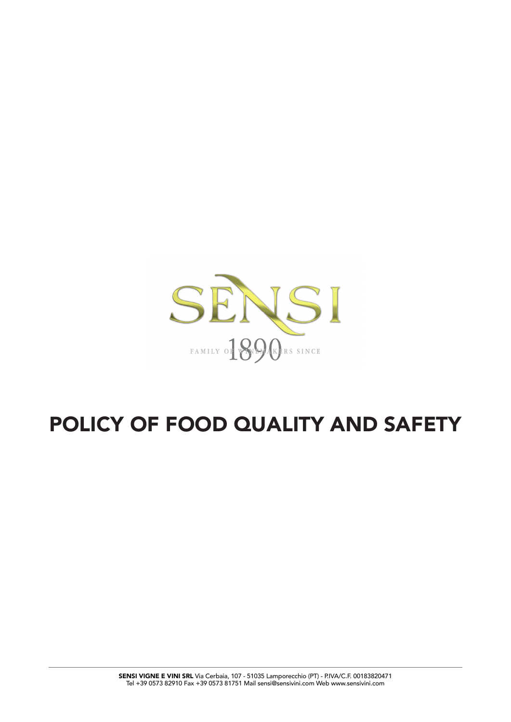

# POLICY OF FOOD QUALITY AND SAFETY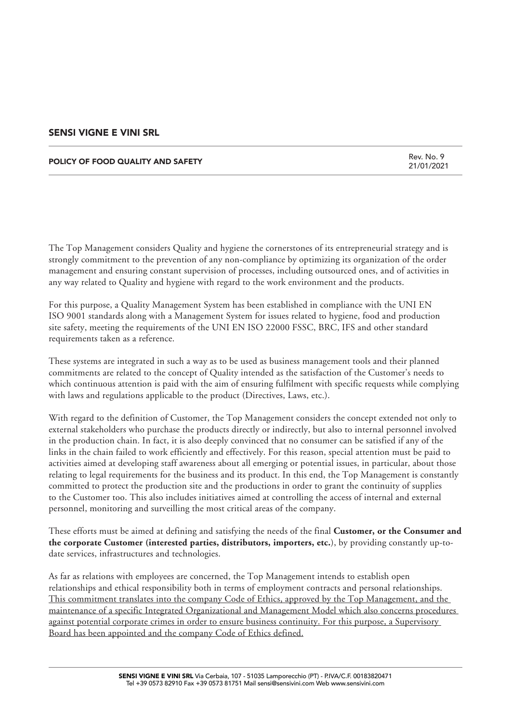#### POLICY OF FOOD QUALITY AND SAFETY

Rev. No. 9 21/01/2021

The Top Management considers Quality and hygiene the cornerstones of its entrepreneurial strategy and is strongly commitment to the prevention of any non-compliance by optimizing its organization of the order management and ensuring constant supervision of processes, including outsourced ones, and of activities in any way related to Quality and hygiene with regard to the work environment and the products.

For this purpose, a Quality Management System has been established in compliance with the UNI EN ISO 9001 standards along with a Management System for issues related to hygiene, food and production site safety, meeting the requirements of the UNI EN ISO 22000 FSSC, BRC, IFS and other standard requirements taken as a reference.

These systems are integrated in such a way as to be used as business management tools and their planned commitments are related to the concept of Quality intended as the satisfaction of the Customer's needs to which continuous attention is paid with the aim of ensuring fulfilment with specific requests while complying with laws and regulations applicable to the product (Directives, Laws, etc.).

With regard to the definition of Customer, the Top Management considers the concept extended not only to external stakeholders who purchase the products directly or indirectly, but also to internal personnel involved in the production chain. In fact, it is also deeply convinced that no consumer can be satisfied if any of the links in the chain failed to work efficiently and effectively. For this reason, special attention must be paid to activities aimed at developing staff awareness about all emerging or potential issues, in particular, about those relating to legal requirements for the business and its product. In this end, the Top Management is constantly committed to protect the production site and the productions in order to grant the continuity of supplies to the Customer too. This also includes initiatives aimed at controlling the access of internal and external personnel, monitoring and surveilling the most critical areas of the company.

These efforts must be aimed at defining and satisfying the needs of the final **Customer, or the Consumer and the corporate Customer (interested parties, distributors, importers, etc.**), by providing constantly up-todate services, infrastructures and technologies.

As far as relations with employees are concerned, the Top Management intends to establish open relationships and ethical responsibility both in terms of employment contracts and personal relationships. This commitment translates into the company Code of Ethics, approved by the Top Management, and the maintenance of a specific Integrated Organizational and Management Model which also concerns procedures against potential corporate crimes in order to ensure business continuity. For this purpose, a Supervisory Board has been appointed and the company Code of Ethics defined.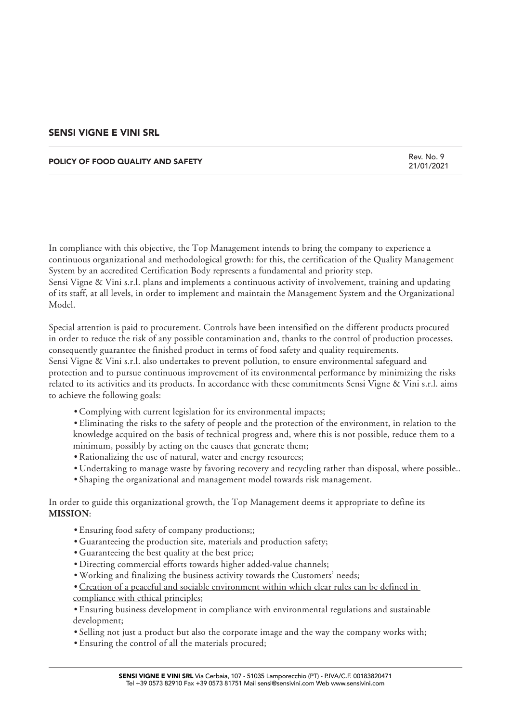#### POLICY OF FOOD QUALITY AND SAFETY

Rev. No. 9 21/01/2021

In compliance with this objective, the Top Management intends to bring the company to experience a continuous organizational and methodological growth: for this, the certification of the Quality Management System by an accredited Certification Body represents a fundamental and priority step. Sensi Vigne & Vini s.r.l. plans and implements a continuous activity of involvement, training and updating of its staff, at all levels, in order to implement and maintain the Management System and the Organizational Model.

Special attention is paid to procurement. Controls have been intensified on the different products procured in order to reduce the risk of any possible contamination and, thanks to the control of production processes, consequently guarantee the finished product in terms of food safety and quality requirements. Sensi Vigne & Vini s.r.l. also undertakes to prevent pollution, to ensure environmental safeguard and protection and to pursue continuous improvement of its environmental performance by minimizing the risks related to its activities and its products. In accordance with these commitments Sensi Vigne & Vini s.r.l. aims to achieve the following goals:

*•* Complying with current legislation for its environmental impacts;

*•* Eliminating the risks to the safety of people and the protection of the environment, in relation to the knowledge acquired on the basis of technical progress and, where this is not possible, reduce them to a minimum, possibly by acting on the causes that generate them;

- Rationalizing the use of natural, water and energy resources;
- Undertaking to manage waste by favoring recovery and recycling rather than disposal, where possible..
- Shaping the organizational and management model towards risk management.

In order to guide this organizational growth, the Top Management deems it appropriate to define its **MISSION**:

- Ensuring food safety of company productions;;
- Guaranteeing the production site, materials and production safety;
- Guaranteeing the best quality at the best price;
- Directing commercial efforts towards higher added-value channels;
- Working and finalizing the business activity towards the Customers' needs;
- Creation of a peaceful and sociable environment within which clear rules can be defined in
- compliance with ethical principles;

*•* Ensuring business development in compliance with environmental regulations and sustainable development;

- Selling not just a product but also the corporate image and the way the company works with;
- Ensuring the control of all the materials procured;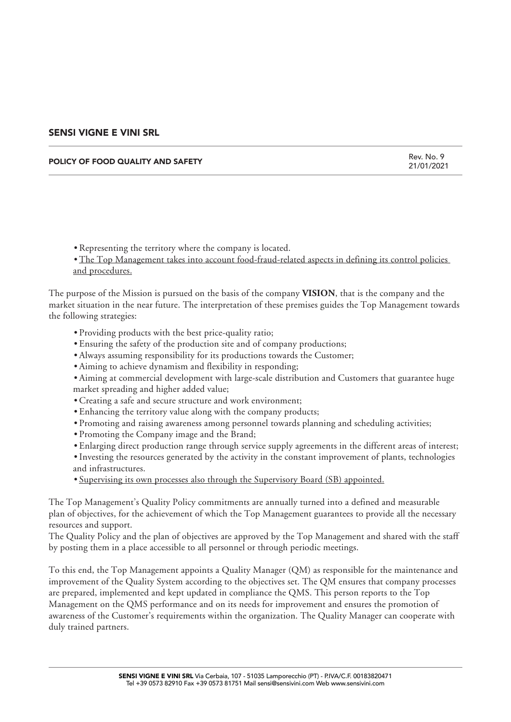#### POLICY OF FOOD QUALITY AND SAFETY

Rev. No. 9 21/01/2021

- Representing the territory where the company is located.
- The Top Management takes into account food-fraud-related aspects in defining its control policies and procedures.

The purpose of the Mission is pursued on the basis of the company **VISION**, that is the company and the market situation in the near future. The interpretation of these premises guides the Top Management towards the following strategies:

- Providing products with the best price-quality ratio;
- Ensuring the safety of the production site and of company productions;
- Always assuming responsibility for its productions towards the Customer;
- Aiming to achieve dynamism and flexibility in responding;
- Aiming at commercial development with large-scale distribution and Customers that guarantee huge market spreading and higher added value;
- Creating a safe and secure structure and work environment;
- Enhancing the territory value along with the company products;
- Promoting and raising awareness among personnel towards planning and scheduling activities;
- Promoting the Company image and the Brand;
- Enlarging direct production range through service supply agreements in the different areas of interest;
- Investing the resources generated by the activity in the constant improvement of plants, technologies and infrastructures.
- Supervising its own processes also through the Supervisory Board (SB) appointed.

The Top Management's Quality Policy commitments are annually turned into a defined and measurable plan of objectives, for the achievement of which the Top Management guarantees to provide all the necessary resources and support.

The Quality Policy and the plan of objectives are approved by the Top Management and shared with the staff by posting them in a place accessible to all personnel or through periodic meetings.

To this end, the Top Management appoints a Quality Manager (QM) as responsible for the maintenance and improvement of the Quality System according to the objectives set. The QM ensures that company processes are prepared, implemented and kept updated in compliance the QMS. This person reports to the Top Management on the QMS performance and on its needs for improvement and ensures the promotion of awareness of the Customer's requirements within the organization. The Quality Manager can cooperate with duly trained partners.